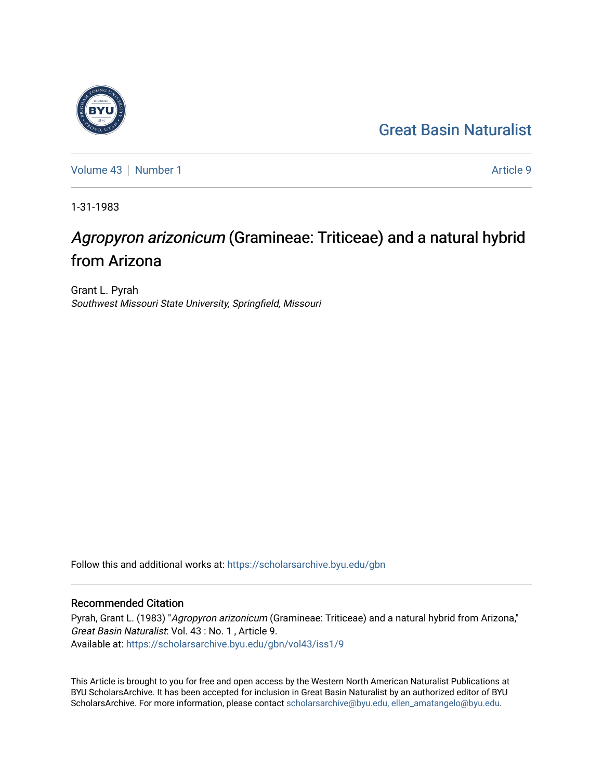## [Great Basin Naturalist](https://scholarsarchive.byu.edu/gbn)

[Volume 43](https://scholarsarchive.byu.edu/gbn/vol43) [Number 1](https://scholarsarchive.byu.edu/gbn/vol43/iss1) Article 9

1-31-1983

# Agropyron arizonicum (Gramineae: Triticeae) and a natural hybrid from Arizona

Grant L. Pyrah Southwest Missouri State University, Springfield, Missouri

Follow this and additional works at: [https://scholarsarchive.byu.edu/gbn](https://scholarsarchive.byu.edu/gbn?utm_source=scholarsarchive.byu.edu%2Fgbn%2Fvol43%2Fiss1%2F9&utm_medium=PDF&utm_campaign=PDFCoverPages) 

### Recommended Citation

Pyrah, Grant L. (1983) "Agropyron arizonicum (Gramineae: Triticeae) and a natural hybrid from Arizona," Great Basin Naturalist: Vol. 43 : No. 1 , Article 9. Available at: [https://scholarsarchive.byu.edu/gbn/vol43/iss1/9](https://scholarsarchive.byu.edu/gbn/vol43/iss1/9?utm_source=scholarsarchive.byu.edu%2Fgbn%2Fvol43%2Fiss1%2F9&utm_medium=PDF&utm_campaign=PDFCoverPages)

This Article is brought to you for free and open access by the Western North American Naturalist Publications at BYU ScholarsArchive. It has been accepted for inclusion in Great Basin Naturalist by an authorized editor of BYU ScholarsArchive. For more information, please contact [scholarsarchive@byu.edu, ellen\\_amatangelo@byu.edu.](mailto:scholarsarchive@byu.edu,%20ellen_amatangelo@byu.edu)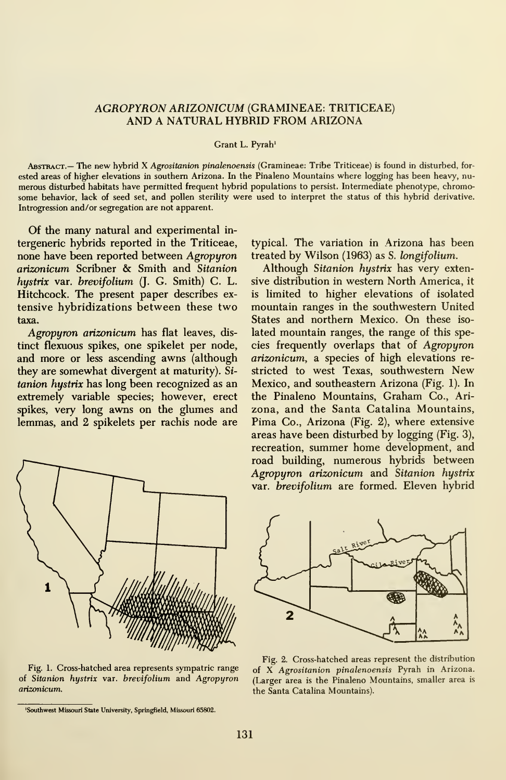#### AGROPYRON ARIZONICUM (GRAMINEAE: TRITICEAE) AND A NATURAL HYBRID FROM ARIZONA

Grant L. Pyrah'

Abstract.— The new hybrid X Agrositanion pinalenoensis (Gramineae: Tribe Triticeae) is found in disturbed, for ested areas of higher elevations in southern Arizona. In the Pinaleno Mountains where logging has been heavy, nu merous disturbed habitats have permitted frequent hybrid populations to persist. Intermediate phenotype, chromo some behavior, lack of seed set, and pollen sterility were used to interpret the status of this hybrid derivative. Introgression and/or segregation are not apparent.

Of the many natural and experimental in tergeneric hybrids reported in the Triticeae, none have been reported between Agropyron arizonicum Scribner & Smith and Sitanion hystrix var. brevifolium (J. G. Smith) C. L. Hitchcock. The present paper describes ex tensive hybridizations between these two taxa.

Agropyron arizonicum has flat leaves, dis tinct flexuous spikes, one spikelet per node, and more or less ascending awns (although they are somewhat divergent at maturity). Si tanion hystrix has long been recognized as an extremely variable species; however, erect spikes, very long awns on the glumes and lemmas, and 2 spikelets per rachis node are



Fig. 1. Cross-hatched area represents sympatric range of Sitanion hystrix var. brevifolium and Agropyron arizonicum.

typical. The variation in Arizona has been treated by Wilson (1963) as S. longifolium.

Although Sitanion hystrix has very extensive distribution in western North America, it is limited to higher elevations of isolated mountain ranges in the southwestern United States and northern Mexico. On these iso lated mountain ranges, the range of this species frequently overlaps that of Agropyron arizonicum, a species of high elevations re stricted to west Texas, southwestern New Mexico, and southeastern Arizona (Fig. 1). In the Pinaleno Mountains, Graham Co., Ari zona, and the Santa Catalina Mountains, Pima Co., Arizona (Fig. 2), where extensive areas have been disturbed by logging (Fig. 3), recreation, summer home development, and road building, numerous hybrids between Agropyron arizonicum and Sitanion hystrix var. brevifolium are formed. Eleven hybrid



Fig. 2. Cross-hatched areas represent the distribution of X Agrositanion pinalenoensis Pyrah in Arizona. (Larger area is the Pinaleno Mountains, smaller area is the Santa Catalina Mountains).

<sup>&#</sup>x27;Southwest Missouri State University, Springfield, Missouri 65802.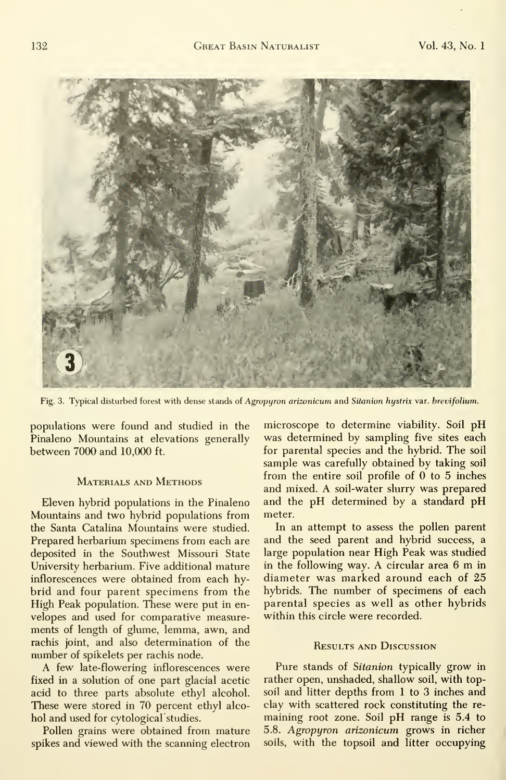

Fig. 3. Typical disturbed forest with dense stands of Agropyron arizonicum and Sitanion hystrix var. brevifolium.

populations were found and studied in the Pinaleno Mountains at elevations generally between 7000 and 10,000 ft.

#### Materials and Methods

Eleven hybrid populations in the Pinaleno Mountains and two hybrid populations from the Santa Catalina Mountains were studied. Prepared herbarium specimens from each are deposited in the Southwest Missouri State University herbarium. Five additional mature inflorescences were obtained from each hybrid and four parent specimens from the High Peak population. These were put in en velopes and used for comparative measure ments of length of glume, lemma, awn, and rachis joint, and also determination of the number of spikelets per rachis node.

A few late-flowering inflorescences were fixed in a solution of one part glacial acetic acid to three parts absolute ethyl alcohol. These were stored in 70 percent ethyl alco hol and used for cytological studies.

Pollen grains were obtained from mature spikes and viewed with the scanning electron microscope to determine viability. Soil pH was determined by sampling five sites each for parental species and the hybrid. The soil sample was carefully obtained by taking soil from the entire soil profile of  $0$  to  $5$  inches and mixed. A soil-water slurry was prepared and the pH determined by <sup>a</sup> standard pH meter.

In an attempt to assess the pollen parent and the seed parent and hybrid success, a large population near High Peak was studied in the following way. A circular area <sup>6</sup> m in diameter was marked around each of 25 hybrids. The number of specimens of each parental species as well as other hybrids within this circle were recorded.

#### Results and Discussion

Pure stands of Sitanion typically grow in rather open, unshaded, shallow soil, with topsoil and litter depths from <sup>1</sup> to 3 inches and clay with scattered rock constituting the re maining root zone. Soil pH range is 5.4 to 5.8. Agropyron arizonicum grows in richer soils, with the topsoil and litter occupying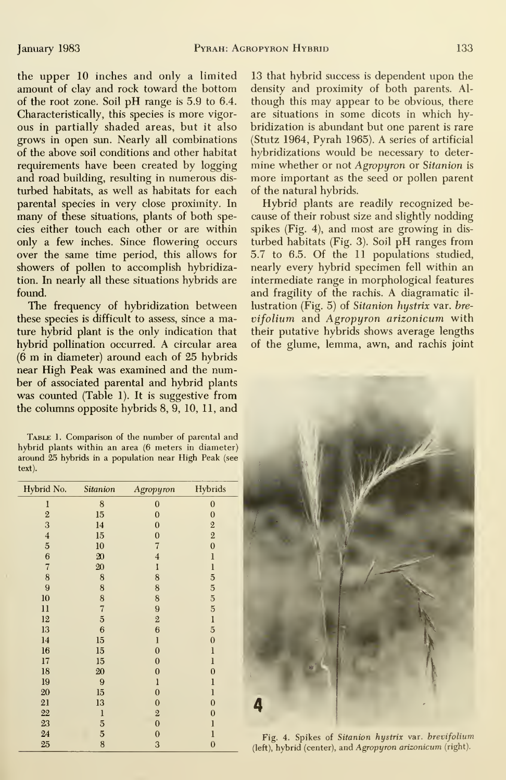of the root zone. Soil pH range is 5.9 to 6.4. though this may appear to be obvious, there Characteristically, this species is more vigor- are situations in some dicots in which hyand road building, resulting in numerous dis turbed habitats, as well as habitats for each parental species in very close proximity. In Hybrid plants are readily recognized be-<br>many of these situations, plants of both spe-cause of their robust size and slightly nodding many of these situations, plants of both species either touch each other or are within spikes (Fig. 4), and most are growing in disshowers of pollen to accomplish hybridizafound.

these species is difficult to assess, since a ma-(6 m in diameter) around each of <sup>25</sup> hybrids near High Peak was examined and the number of associated parental and hybrid plants was counted (Table 1). It is suggestive from the columns opposite hybrids 8, 9, 10, 11, and

TABLE 1. Comparison of the number of parental and hybrid plants within an area (6 meters in diameter) around 25 hybrids in a population near High Peak (see text).

| Hybrid No.              | Sitanion                 | Agropyron               | Hybrids        |  |
|-------------------------|--------------------------|-------------------------|----------------|--|
| 1                       | 8                        | 0                       | $\bf{0}$       |  |
| $\boldsymbol{2}$        | 15                       | $\mathbf{0}$            | $\bf{0}$       |  |
| 3                       | 14                       | $\bf{0}$                | $\overline{2}$ |  |
| $\overline{\mathbf{4}}$ | 15                       | $\bf{0}$                | $\overline{2}$ |  |
| $\overline{5}$          | 10                       | 7                       | $\overline{0}$ |  |
| $\boldsymbol{6}$        | $20\,$                   | $\overline{\mathbf{4}}$ | $\mathbf{1}$   |  |
| $\overline{7}$          | $20\,$                   | 1                       | $\mathbf{1}$   |  |
| 8                       | 8                        | 8                       | 5              |  |
| 9                       | 8                        | 8                       | 5              |  |
| 10                      | 8                        | 8                       | $\overline{5}$ |  |
| 11                      | $\overline{\mathcal{U}}$ | 9                       | $\overline{5}$ |  |
| 12                      | $\overline{5}$           | $\overline{2}$          | 1              |  |
| 13                      | $\boldsymbol{6}$         | 6                       | $\overline{5}$ |  |
| 14                      | 15                       | $\mathbf{1}$            | $\overline{0}$ |  |
| 16                      | 15                       | $\bf{0}$                | $\mathbf{1}$   |  |
| 17                      | 15                       | $\bf{0}$                | $\mathbf{1}$   |  |
| 18                      | 20                       | $\bf{0}$                | $\bf{0}$       |  |
| 19                      | 9                        | $\mathbf{1}$            | $\mathbf{1}$   |  |
| 20                      | 15                       | $\bf{0}$                | 1              |  |
| 21                      | 13                       | $\boldsymbol{0}$        | $\theta$       |  |
| 22                      | $\mathbf{1}$             | $\overline{2}$          | $\bf{0}$       |  |
| 23                      | 5                        | $\mathbf{0}$            | 1              |  |
| 24                      | 5                        | $\bf{0}$                | $\mathbf{I}$   |  |
| 25                      | 8                        | 3                       | $\bf{0}$       |  |

the upper 10 inches and only a limited 13 that hybrid success is dependent upon the amount of clay and rock toward the bottom density and proximity of both parents. Alamount of clay and rock toward the bottom density and proximity of both parents. Al-<br>of the root zone. Soil pH range is 5.9 to 6.4. though this may appear to be obvious, there Characteristically, this species is more vigor- are situations in some dicots in which hy-<br>ous in partially shaded areas, but it also bridization is abundant but one parent is rare ous in partially shaded areas, but it also bridization is abundant but one parent is rare grows in open sun. Nearly all combinations (Stutz 1964, Pyrah 1965). A series of artificial grows in open sun. Nearly all combinations (Stutz 1964, Pyrah 1965). A series of artificial of the above soil conditions and other habitat hybridizations would be necessary to deterof the above soil conditions and other habitat hybridizations would be necessary to deter-<br>requirements have been created by logging mine whether or not Agropuron or Sitanion is requirements have been created by logging mine whether or not Agropyron or Sitanion is<br>and road building, resulting in numerous dis- more important as the seed or pollen parent

Hybrid plants are readily recognized beonly a few inches. Since flowering occurs turbed habitats (Fig. 3). Soil pH ranges from over the same time period, this allows for  $5.7$  to  $6.5$ . Of the 11 populations studied, over the same time period, this allows for 5.7 to 6.5. Of the 11 populations studied, showers of pollen to accomplish hybridiza- nearly every hybrid specimen fell within an tion. In nearly all these situations hybrids are intermediate range in morphological features and fragility of the rachis. A diagramatic il-The frequency of hybridization between lustration (Fig. 5) of Sitanion hystrix var. bre-<br>ese species is difficult to assess, since a ma-  $vi$ folium and Agropyron arizonicum with ture hybrid plant is the only indication that their putative hybrids shows average lengths hybrid pollination occurred. A circular area of the glume, lemma, awn, and rachis joint



Fig. 4. Spikes of Sitanion hystrix var. brevifolium (left), hybrid (center), and Agropyron arizonicum (right).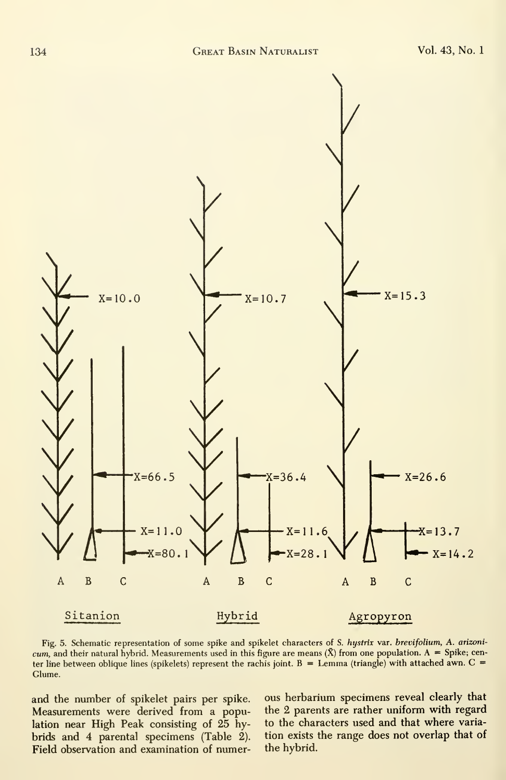

Fig. 5. Schematic representation of some spike and spikelet characters of S. hystrix var. brevifolium, A. arizonicum, and their natural hybrid. Measurements used in this figure are means  $(\bar{X})$  from one population. A = Spike; center line between oblique lines (spikelets) represent the rachis joint.  $B = L \text{emma (triangle) with attached awn. } C =$ Glume.

and the number of spikelet pairs per spike. Measurements were derived from a population near High Peak consisting of 25 hybrids and 4 parental specimens (Table 2). Field observation and examination of numer-

ous herbarium specimens reveal clearly that the 2 parents are rather uniform with regard to the characters used and that where varia tion exists the range does not overlap that of the hybrid.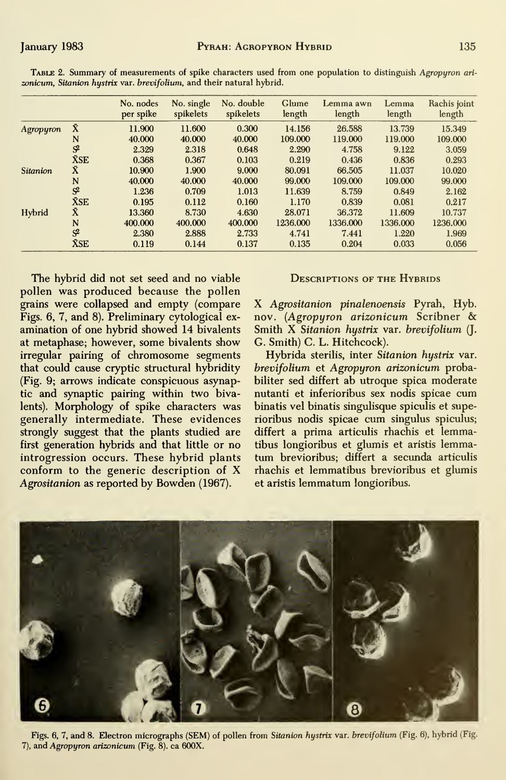|                 |                 | No. nodes<br>per spike | No. single<br>spikelets | No. double<br>spikelets | Glume<br>length | Lemma awn<br>length | Lemma<br>length | Rachis joint<br>length |
|-----------------|-----------------|------------------------|-------------------------|-------------------------|-----------------|---------------------|-----------------|------------------------|
| Agropyron       | Ā               | 11.900                 | 11.600                  | 0.300                   | 14.156          | 26.588              | 13.739          | 15.349                 |
|                 | N               | 40.000                 | 40.000                  | 40.000                  | 109.000         | 119.000             | 119.000         | 109.000                |
|                 | $\mathcal{S}^2$ | 2.329                  | 2.318                   | 0.648                   | 2.290           | 4.758               | 9.122           | 3.059                  |
|                 | <b>XSE</b>      | 0.368                  | 0.367                   | 0.103                   | 0.219           | 0.436               | 0.836           | 0.293                  |
| <b>Sitanion</b> | Ā               | 10.900                 | 1.900                   | 9.000                   | 80.091          | 66.505              | 11.037          | 10.020                 |
|                 | N               | 40.000                 | 40.000                  | 40.000                  | 99.000          | 109.000             | 109.000         | 99.000                 |
|                 | $S^2$           | 1.236                  | 0.709                   | 1.013                   | 11.639          | 8.759               | 0.849           | 2.162                  |
|                 | <b>XSE</b>      | 0.195                  | 0.112                   | 0.160                   | 1.170           | 0.839               | 0.081           | 0.217                  |
| Hybrid          | Χ               | 13.360                 | 8.730                   | 4.630                   | 28.071          | 36.372              | 11.609          | 10.737                 |
|                 | N               | 400.000                | 400.000                 | 400.000                 | 1236.000        | 1336.000            | 1336.000        | 1236.000               |
|                 | $S^2$           | 2.380                  | 2.888                   | 2.733                   | 4.741           | 7.441               | 1.220           | 1.969                  |
|                 | <b>XSE</b>      | 0.119                  | 0.144                   | 0.137                   | 0.135           | 0.204               | 0.033           | 0.056                  |
|                 |                 |                        |                         |                         |                 |                     |                 |                        |

TABLE 2. Summary of measurements of spike characters used from one population to distinguish Agropuron arizonicum, Sitanion hystrix var. brevifolium, and their natural hybrid.

The hybrid did not set seed and no viable pollen was produced because the pollen grains were collapsed and empty (compare Figs. 6, 7, and 8). Preliminary cytological examination of one hybrid showed 14 bivalents at metaphase; however, some bivalents show irregular pairing of chromosome segments that could cause cryptic structural hybridity (Fig. 9; arrows indicate conspicuous asynaptic and synaptic pairing within two bivalents). Morphology of spike characters was generally intermediate. These evidences strongly suggest that the plants studied are first generation hybrids and that little or no introgression occurs. These hybrid plants conform to the generic description of X Agrositanion as reported by Bowden (1967).

#### **DESCRIPTIONS OF THE HYBRIDS**

X Agrositanion pinalenoensis Pyrah, Hyb. nov. (Agropyron arizonicum Scribner & Smith X Sitanion hustrix var. brevifolium (J. G. Smith) C. L. Hitchcock).

Hybrida sterilis, inter Sitanion hystrix var. brevifolium et Agropyron arizonicum probabiliter sed differt ab utroque spica moderate nutanti et inferioribus sex nodis spicae cum binatis vel binatis singulisque spiculis et superioribus nodis spicae cum singulus spiculus; differt a prima articulis rhachis et lemmatibus longioribus et glumis et aristis lemmatum brevioribus: differt a secunda articulis rhachis et lemmatibus brevioribus et glumis et aristis lemmatum longioribus.



Figs. 6, 7, and 8. Electron micrographs (SEM) of pollen from Sitanion hystrix var. brevifolium (Fig. 6), hybrid (Fig. 7), and Agropyron arizonicum (Fig. 8). ca 600X.